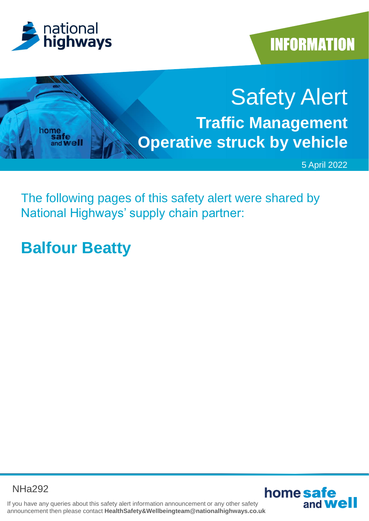



# Safety Alert **Traffic Management**  home<br>safe **Operative struck by vehicle** and **Well**

5 April 2022

The following pages of this safety alert were shared by National Highways' supply chain partner:

# **Balfour Beatty**

NHa292



If you have any queries about this safety alert information announcement or any other safety announcement then please contact **HealthSafety&Wellbeingteam@nationalhighways.co.uk**